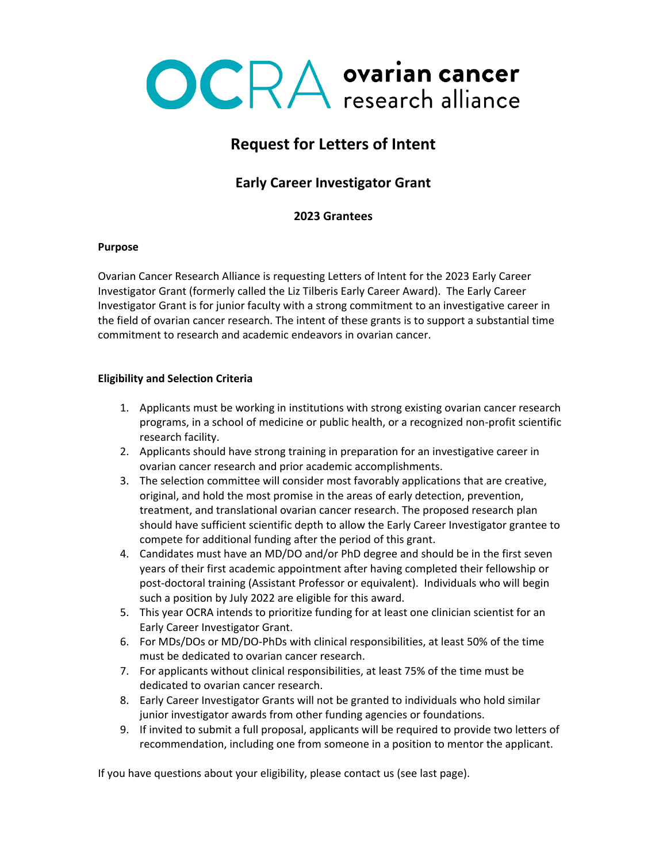

# **Request for Letters of Intent**

# **Early Career Investigator Grant**

# **2023 Grantees**

#### **Purpose**

Ovarian Cancer Research Alliance is requesting Letters of Intent for the 2023 Early Career Investigator Grant (formerly called the Liz Tilberis Early Career Award). The Early Career Investigator Grant is for junior faculty with a strong commitment to an investigative career in the field of ovarian cancer research. The intent of these grants is to support a substantial time commitment to research and academic endeavors in ovarian cancer.

# **Eligibility and Selection Criteria**

- 1. Applicants must be working in institutions with strong existing ovarian cancer research programs, in a school of medicine or public health, or a recognized non-profit scientific research facility.
- 2. Applicants should have strong training in preparation for an investigative career in ovarian cancer research and prior academic accomplishments.
- 3. The selection committee will consider most favorably applications that are creative, original, and hold the most promise in the areas of early detection, prevention, treatment, and translational ovarian cancer research. The proposed research plan should have sufficient scientific depth to allow the Early Career Investigator grantee to compete for additional funding after the period of this grant.
- 4. Candidates must have an MD/DO and/or PhD degree and should be in the first seven years of their first academic appointment after having completed their fellowship or post-doctoral training (Assistant Professor or equivalent). Individuals who will begin such a position by July 2022 are eligible for this award.
- 5. This year OCRA intends to prioritize funding for at least one clinician scientist for an Early Career Investigator Grant.
- 6. For MDs/DOs or MD/DO-PhDs with clinical responsibilities, at least 50% of the time must be dedicated to ovarian cancer research.
- 7. For applicants without clinical responsibilities, at least 75% of the time must be dedicated to ovarian cancer research.
- 8. Early Career Investigator Grants will not be granted to individuals who hold similar junior investigator awards from other funding agencies or foundations.
- 9. If invited to submit a full proposal, applicants will be required to provide two letters of recommendation, including one from someone in a position to mentor the applicant.

If you have questions about your eligibility, please contact us (see last page).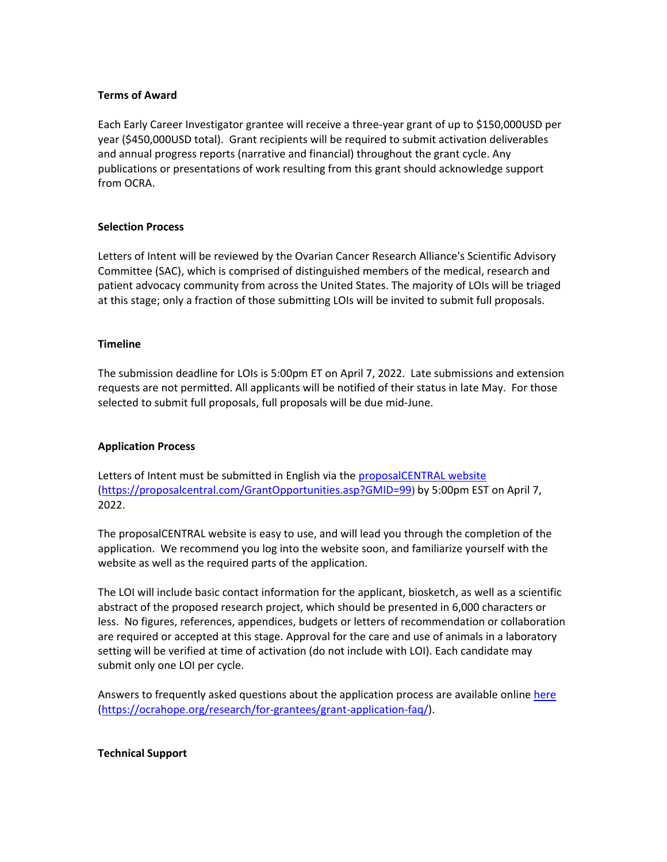#### **Terms of Award**

Each Early Career Investigator grantee will receive a three-year grant of up to \$150,000USD per year (\$450,000USD total). Grant recipients will be required to submit activation deliverables and annual progress reports (narrative and financial) throughout the grant cycle. Any publications or presentations of work resulting from this grant should acknowledge support from OCRA.

# **Selection Process**

Letters of Intent will be reviewed by the Ovarian Cancer Research Alliance's Scientific Advisory Committee (SAC), which is comprised of distinguished members of the medical, research and patient advocacy community from across the United States. The majority of LOIs will be triaged at this stage; only a fraction of those submitting LOIs will be invited to submit full proposals.

#### **Timeline**

The submission deadline for LOIs is 5:00pm ET on April 7, 2022. Late submissions and extension requests are not permitted. All applicants will be notified of their status in late May. For those selected to submit full proposals, full proposals will be due mid-June.

# **Application Process**

Letters of Intent must be submitted in English via the [proposalCENTRAL website](https://proposalcentral.com/GrantOpportunities.asp?GMID=99) [\(https://proposalcentral.com/GrantOpportunities.asp?GMID=99](https://proposalcentral.com/GrantOpportunities.asp?GMID=99)) by 5:00pm EST on April 7, 2022.

The proposalCENTRAL website is easy to use, and will lead you through the completion of the application. We recommend you log into the website soon, and familiarize yourself with the website as well as the required parts of the application.

The LOI will include basic contact information for the applicant, biosketch, as well as a scientific abstract of the proposed research project, which should be presented in 6,000 characters or less. No figures, references, appendices, budgets or letters of recommendation or collaboration are required or accepted at this stage. Approval for the care and use of animals in a laboratory setting will be verified at time of activation (do not include with LOI). Each candidate may submit only one LOI per cycle.

Answers to frequently asked questions about the application process are available online [here](file:///C:/Users/Natalie/Downloads/here) [\(https://ocrahope.org/research/for-grantees/grant-application-faq/\)](https://ocrahope.org/research/for-grantees/grant-application-faq/).

#### **Technical Support**